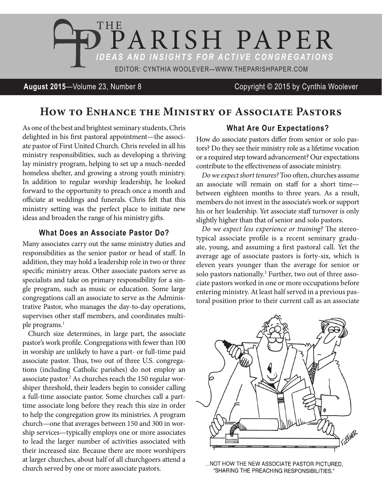

### **August 2015**—Volume 23, Number 8 Copyright © 2015 by Cynthia Woolever

# **How to Enhance the Ministry of Associate Pastors**

As one of the best and brightest seminary students, Chris delighted in his first pastoral appointment—the associate pastor of First United Church. Chris reveled in all his ministry responsibilities, such as developing a thriving lay ministry program, helping to set up a much-needed homeless shelter, and growing a strong youth ministry. In addition to regular worship leadership, he looked forward to the opportunity to preach once a month and officiate at weddings and funerals. Chris felt that this ministry setting was the perfect place to initiate new ideas and broaden the range of his ministry gifts.

#### **What Does an Associate Pastor Do?**

Many associates carry out the same ministry duties and responsibilities as the senior pastor or head of staff. In addition, they may hold a leadership role in two or three specific ministry areas. Other associate pastors serve as specialists and take on primary responsibility for a single program, such as music or education. Some large congregations call an associate to serve as the Administrative Pastor, who manages the day-to-day operations, supervises other staff members, and coordinates multiple programs.<sup>1</sup>

Church size determines, in large part, the associate pastor's work profile. Congregations with fewer than 100 in worship are unlikely to have a part- or full-time paid associate pastor. Thus, two out of three U.S. congregations (including Catholic parishes) do not employ an associate pastor.<sup>2</sup> As churches reach the 150 regular worshiper threshold, their leaders begin to consider calling a full-time associate pastor. Some churches call a parttime associate long before they reach this size in order to help the congregation grow its ministries. A program church—one that averages between 150 and 300 in worship services—typically employs one or more associates to lead the larger number of activities associated with their increased size. Because there are more worshipers at larger churches, about half of all churchgoers attend a church served by one or more associate pastors.

#### **What Are Our Expectations?**

How do associate pastors differ from senior or solo pastors? Do they see their ministry role as a lifetime vocation or a required step toward advancement? Our expectations contribute to the effectiveness of associate ministry.

*Do we expect short tenures?* Too often, churches assume an associate will remain on staff for a short time between eighteen months to three years. As a result, members do not invest in the associate's work or support his or her leadership. Yet associate staff turnover is only slightly higher than that of senior and solo pastors.

*Do we expect less experience or training?* The stereotypical associate profile is a recent seminary graduate, young, and assuming a first pastoral call. Yet the average age of associate pastors is forty-six, which is eleven years younger than the average for senior or solo pastors nationally.<sup>3</sup> Further, two out of three associate pastors worked in one or more occupations before entering ministry. At least half served in a previous pastoral position prior to their current call as an associate



... NOT HOW THE NEW ASSOCIATE PASTOR PICTURED, "SHARING THE PREACHING RESPONSIBILITIES."